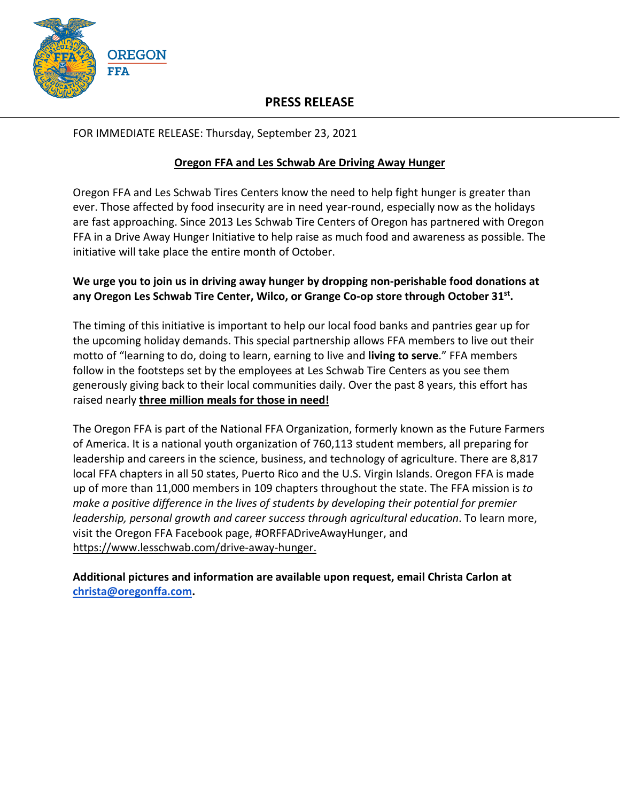

## **PRESS RELEASE**

FOR IMMEDIATE RELEASE: Thursday, September 23, 2021

## **Oregon FFA and Les Schwab Are Driving Away Hunger**

Oregon FFA and Les Schwab Tires Centers know the need to help fight hunger is greater than ever. Those affected by food insecurity are in need year-round, especially now as the holidays are fast approaching. Since 2013 Les Schwab Tire Centers of Oregon has partnered with Oregon FFA in a Drive Away Hunger Initiative to help raise as much food and awareness as possible. The initiative will take place the entire month of October.

## **We urge you to join us in driving away hunger by dropping non-perishable food donations at any Oregon Les Schwab Tire Center, Wilco, or Grange Co-op store through October 31st.**

The timing of this initiative is important to help our local food banks and pantries gear up for the upcoming holiday demands. This special partnership allows FFA members to live out their motto of "learning to do, doing to learn, earning to live and **living to serve**." FFA members follow in the footsteps set by the employees at Les Schwab Tire Centers as you see them generously giving back to their local communities daily. Over the past 8 years, this effort has raised nearly **three million meals for those in need!**

The Oregon FFA is part of the National FFA Organization, formerly known as the Future Farmers of America. It is a national youth organization of 760,113 student members, all preparing for leadership and careers in the science, business, and technology of agriculture. There are 8,817 local FFA chapters in all 50 states, Puerto Rico and the U.S. Virgin Islands. Oregon FFA is made up of more than 11,000 members in 109 chapters throughout the state. The FFA mission is *to make a positive difference in the lives of students by developing their potential for premier leadership, personal growth and career success through agricultural education*. To learn more, visit the Oregon FFA Facebook page, #ORFFADriveAwayHunger, and https://www.lesschwab.com/drive-away-hunger.

**Additional pictures and information are available upon request, email Christa Carlon at [christa@oregonffa.com.](mailto:christa@oregonffa.com)**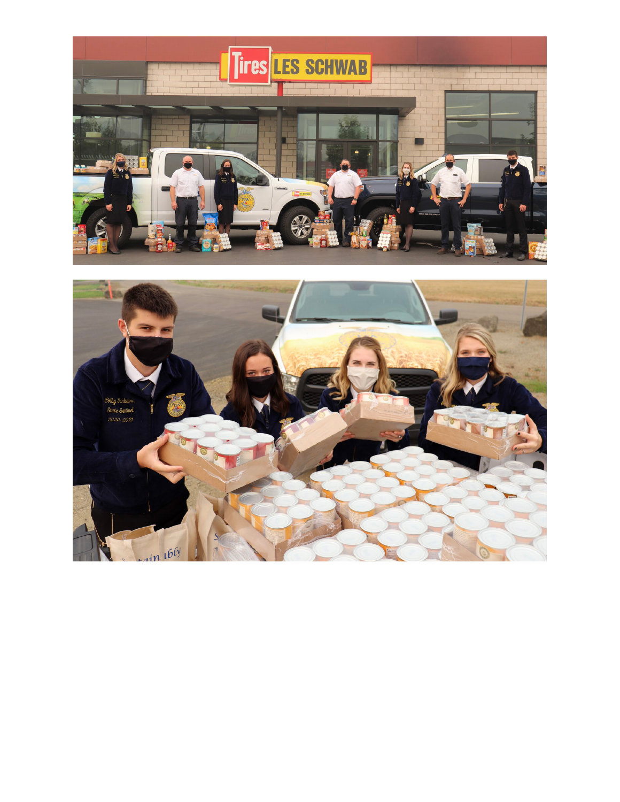